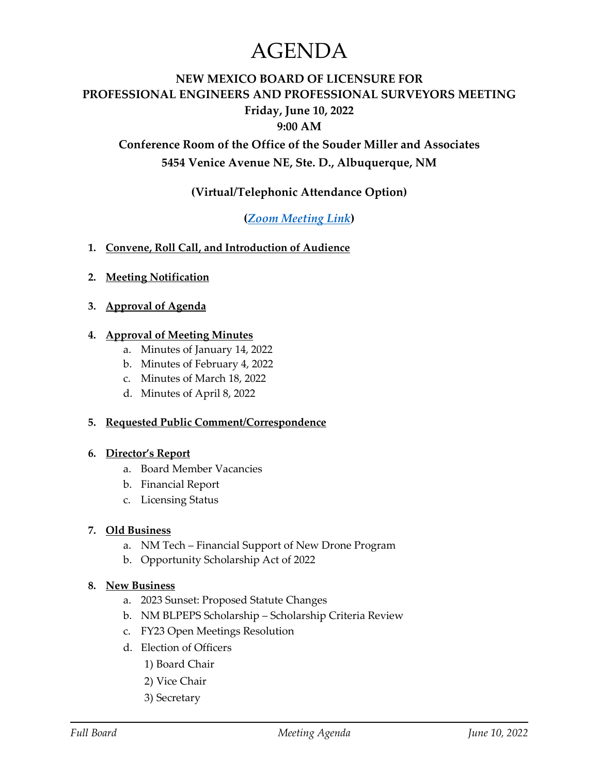# AGENDA

# **NEW MEXICO BOARD OF LICENSURE FOR PROFESSIONAL ENGINEERS AND PROFESSIONAL SURVEYORS MEETING Friday, June 10, 2022**

**9:00 AM**

**Conference Room of the Office of the Souder Miller and Associates 5454 Venice Avenue NE, Ste. D., Albuquerque, NM**

# **(Virtual/Telephonic Attendance Option)**

## **(***[Zoom Meeting Link](https://www.sblpes.state.nm.us/)***)**

- **1. Convene, Roll Call, and Introduction of Audience**
- **2. Meeting Notification**
- **3. Approval of Agenda**

#### **4. Approval of Meeting Minutes**

- a. Minutes of January 14, 2022
- b. Minutes of February 4, 2022
- c. Minutes of March 18, 2022
- d. Minutes of April 8, 2022

#### **5. Requested Public Comment/Correspondence**

#### **6. Director's Report**

- a. Board Member Vacancies
- b. Financial Report
- c. Licensing Status

#### **7. Old Business**

- a. NM Tech Financial Support of New Drone Program
- b. Opportunity Scholarship Act of 2022

#### **8. New Business**

- a. 2023 Sunset: Proposed Statute Changes
- b. NM BLPEPS Scholarship Scholarship Criteria Review
- c. FY23 Open Meetings Resolution
- d. Election of Officers
	- 1) Board Chair
	- 2) Vice Chair
	- 3) Secretary